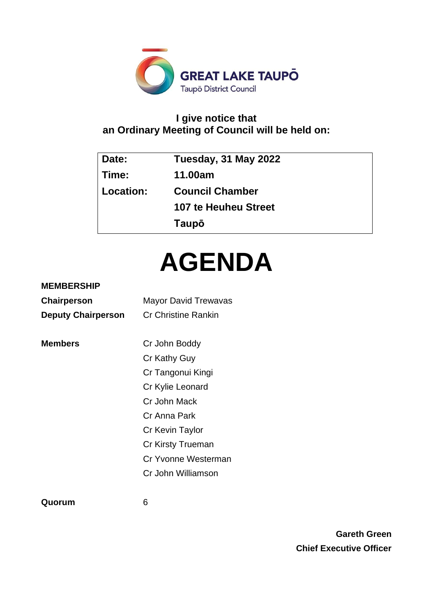

# **I give notice that an Ordinary Meeting of Council will be held on:**

| Date:     | Tuesday, 31 May 2022   |
|-----------|------------------------|
| Time:     | 11.00am                |
| Location: | <b>Council Chamber</b> |
|           | 107 te Heuheu Street   |
|           | Taupō                  |

# **AGENDA**

# **MEMBERSHIP**

| <b>Chairperson</b>        | <b>Mayor David Trewavas</b> |  |  |
|---------------------------|-----------------------------|--|--|
| <b>Deputy Chairperson</b> | <b>Cr Christine Rankin</b>  |  |  |
|                           |                             |  |  |
| <b>Members</b>            | Cr John Boddy               |  |  |
|                           | Cr Kathy Guy                |  |  |
|                           | Cr Tangonui Kingi           |  |  |
|                           | Cr Kylie Leonard            |  |  |
|                           | Cr John Mack                |  |  |
|                           | Cr Anna Park                |  |  |
|                           | Cr Kevin Taylor             |  |  |
|                           | Cr Kirsty Trueman           |  |  |
|                           | Cr Yvonne Westerman         |  |  |
|                           | Cr John Williamson          |  |  |
|                           |                             |  |  |

**Quorum** 6

**Gareth Green Chief Executive Officer**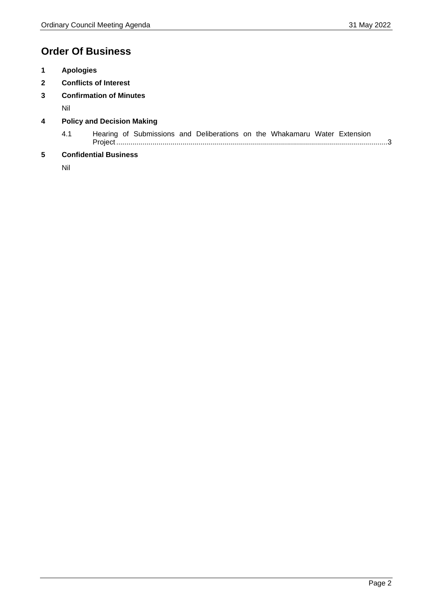# **Order Of Business**

- **1 Apologies**
- **2 Conflicts of Interest**
- **3 Confirmation of Minutes**

Nil

- **4 Policy and Decision Making**
	- 4.1 Hearing of Submissions and Deliberations on the Whakamaru Water Extension Project ......................................................................................................................................[.3](#page-2-0)

# **5 Confidential Business**

Nil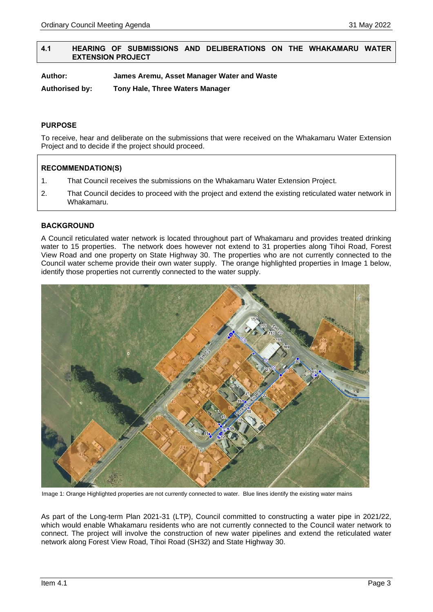# <span id="page-2-0"></span>**4.1 HEARING OF SUBMISSIONS AND DELIBERATIONS ON THE WHAKAMARU WATER EXTENSION PROJECT**

**Author: James Aremu, Asset Manager Water and Waste**

**Authorised by: Tony Hale, Three Waters Manager**

# **PURPOSE**

To receive, hear and deliberate on the submissions that were received on the Whakamaru Water Extension Project and to decide if the project should proceed.

# **RECOMMENDATION(S)**

- 1. That Council receives the submissions on the Whakamaru Water Extension Project.
- 2. That Council decides to proceed with the project and extend the existing reticulated water network in Whakamaru.

# **BACKGROUND**

A Council reticulated water network is located throughout part of Whakamaru and provides treated drinking water to 15 properties. The network does however not extend to 31 properties along Tihoi Road, Forest View Road and one property on State Highway 30. The properties who are not currently connected to the Council water scheme provide their own water supply. The orange highlighted properties in Image 1 below, identify those properties not currently connected to the water supply.



Image 1: Orange Highlighted properties are not currently connected to water. Blue lines identify the existing water mains

As part of the Long-term Plan 2021-31 (LTP), Council committed to constructing a water pipe in 2021/22, which would enable Whakamaru residents who are not currently connected to the Council water network to connect. The project will involve the construction of new water pipelines and extend the reticulated water network along Forest View Road, Tihoi Road (SH32) and State Highway 30.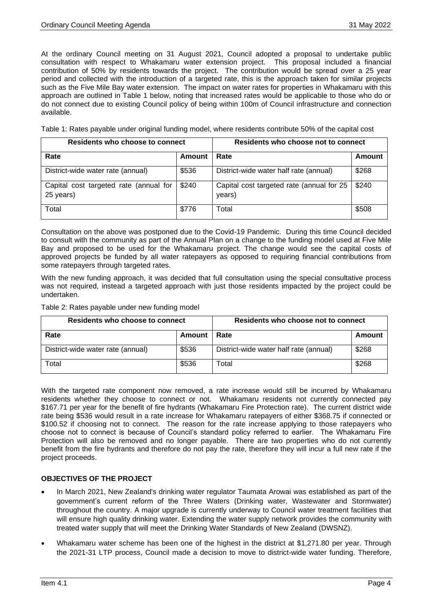At the ordinary Council meeting on 31 August 2021, Council adopted a proposal to undertake public consultation with respect to Whakamaru water extension project. This proposal included a financial contribution of 50% by residents towards the project. The contribution would be spread over a 25 year period and collected with the introduction of a targeted rate, this is the approach taken for similar projects such as the Five Mile Bay water extension. The impact on water rates for properties in Whakamaru with this approach are outlined in Table 1 below, noting that increased rates would be applicable to those who do or do not connect due to existing Council policy of being within 100m of Council infrastructure and connection available.

Table 1: Rates payable under original funding model, where residents contribute 50% of the capital cost

| Residents who choose to connect                     |        | Residents who choose not to connect                 |        |
|-----------------------------------------------------|--------|-----------------------------------------------------|--------|
| Rate                                                | Amount | Rate                                                | Amount |
| District-wide water rate (annual)                   | \$536  | District-wide water half rate (annual)              | \$268  |
| Capital cost targeted rate (annual for<br>25 years) | \$240  | Capital cost targeted rate (annual for 25<br>years) | \$240  |
| Total                                               | \$776  | Total                                               | \$508  |

Consultation on the above was postponed due to the Covid-19 Pandemic. During this time Council decided to consult with the community as part of the Annual Plan on a change to the funding model used at Five Mile Bay and proposed to be used for the Whakamaru project. The change would see the capital costs of approved projects be funded by all water ratepayers as opposed to requiring financial contributions from some ratepayers through targeted rates.

With the new funding approach, it was decided that full consultation using the special consultative process was not required, instead a targeted approach with just those residents impacted by the project could be undertaken.

Table 2: Rates payable under new funding model

| Residents who choose to connect   |        | Residents who choose not to connect    |        |
|-----------------------------------|--------|----------------------------------------|--------|
| Rate                              | Amount | l Rate                                 | Amount |
| District-wide water rate (annual) | \$536  | District-wide water half rate (annual) | \$268  |
| Total                             | \$536  | ™otal                                  | \$268  |

With the targeted rate component now removed, a rate increase would still be incurred by Whakamaru residents whether they choose to connect or not. Whakamaru residents not currently connected pay \$167.71 per year for the benefit of fire hydrants (Whakamaru Fire Protection rate). The current district wide rate being \$536 would result in a rate increase for Whakamaru ratepayers of either \$368.75 if connected or \$100.52 if choosing not to connect. The reason for the rate increase applying to those ratepayers who choose not to connect is because of Council's standard policy referred to earlier. The Whakamaru Fire Protection will also be removed and no longer payable. There are two properties who do not currently benefit from the fire hydrants and therefore do not pay the rate, therefore they will incur a full new rate if the project proceeds.

# **OBJECTIVES OF THE PROJECT**

- In March 2021, New Zealand's drinking water regulator Taumata Arowai was established as part of the government's current reform of the Three Waters (Drinking water, Wastewater and Stormwater) throughout the country. A major upgrade is currently underway to Council water treatment facilities that will ensure high quality drinking water. Extending the water supply network provides the community with treated water supply that will meet the Drinking Water Standards of New Zealand (DWSNZ).
- Whakamaru water scheme has been one of the highest in the district at \$1,271.80 per year. Through the 2021-31 LTP process, Council made a decision to move to district-wide water funding. Therefore,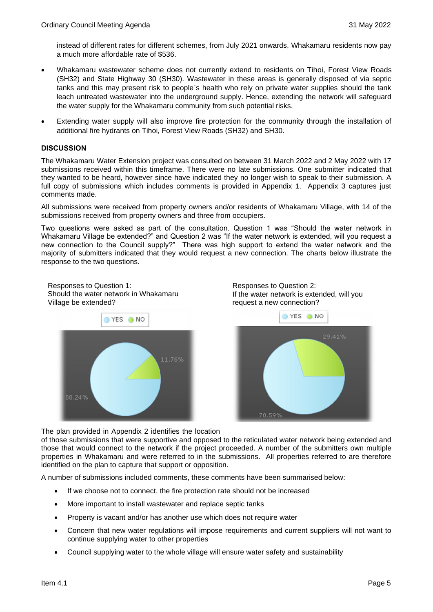instead of different rates for different schemes, from July 2021 onwards, Whakamaru residents now pay a much more affordable rate of \$536.

- Whakamaru wastewater scheme does not currently extend to residents on Tihoi, Forest View Roads (SH32) and State Highway 30 (SH30). Wastewater in these areas is generally disposed of via septic tanks and this may present risk to people`s health who rely on private water supplies should the tank leach untreated wastewater into the underground supply. Hence, extending the network will safeguard the water supply for the Whakamaru community from such potential risks.
- Extending water supply will also improve fire protection for the community through the installation of additional fire hydrants on Tihoi, Forest View Roads (SH32) and SH30.

#### **DISCUSSION**

The Whakamaru Water Extension project was consulted on between 31 March 2022 and 2 May 2022 with 17 submissions received within this timeframe. There were no late submissions. One submitter indicated that they wanted to be heard, however since have indicated they no longer wish to speak to their submission. A full copy of submissions which includes comments is provided in Appendix 1. Appendix 3 captures just comments made.

All submissions were received from property owners and/or residents of Whakamaru Village, with 14 of the submissions received from property owners and three from occupiers.

Two questions were asked as part of the consultation. Question 1 was "Should the water network in Whakamaru Village be extended?" and Question 2 was "If the water network is extended, will you request a new connection to the Council supply?" There was high support to extend the water network and the majority of submitters indicated that they would request a new connection. The charts below illustrate the response to the two questions.







The plan provided in Appendix 2 identifies the location

of those submissions that were supportive and opposed to the reticulated water network being extended and those that would connect to the network if the project proceeded. A number of the submitters own multiple properties in Whakamaru and were referred to in the submissions. All properties referred to are therefore identified on the plan to capture that support or opposition.

A number of submissions included comments, these comments have been summarised below:

- If we choose not to connect, the fire protection rate should not be increased
- More important to install wastewater and replace septic tanks
- Property is vacant and/or has another use which does not require water
- Concern that new water regulations will impose requirements and current suppliers will not want to continue supplying water to other properties
- Council supplying water to the whole village will ensure water safety and sustainability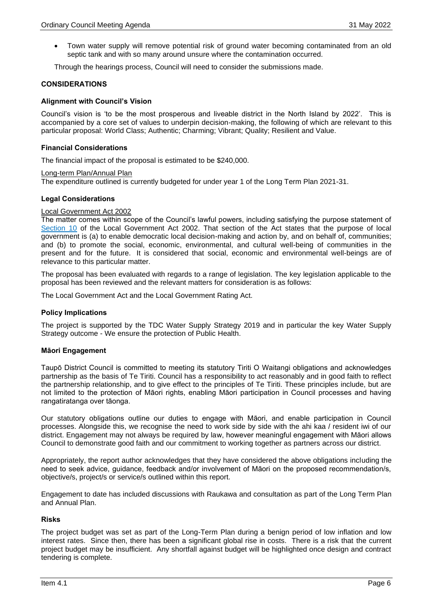• Town water supply will remove potential risk of ground water becoming contaminated from an old septic tank and with so many around unsure where the contamination occurred.

Through the hearings process, Council will need to consider the submissions made.

#### **CONSIDERATIONS**

#### **Alignment with Council's Vision**

Council's vision is 'to be the most prosperous and liveable district in the North Island by 2022'. This is accompanied by a core set of values to underpin decision-making, the following of which are relevant to this particular proposal: World Class; Authentic; Charming; Vibrant; Quality; Resilient and Value.

#### **Financial Considerations**

The financial impact of the proposal is estimated to be \$240,000.

#### Long-term Plan/Annual Plan

The expenditure outlined is currently budgeted for under year 1 of the Long Term Plan 2021-31.

#### **Legal Considerations**

#### Local Government Act 2002

The matter comes within scope of the Council's lawful powers, including satisfying the purpose statement of [Section 10](http://www.legislation.govt.nz/act/public/2002/0084/latest/DLM171803.html?search=qs_act%40bill%40regulation%40deemedreg_local+government+act_resel_25_h&p=1) of the Local Government Act 2002. That section of the Act states that the purpose of local government is (a) to enable democratic local decision-making and action by, and on behalf of, communities; and (b) to promote the social, economic, environmental, and cultural well-being of communities in the present and for the future. It is considered that social, economic and environmental well-beings are of relevance to this particular matter.

The proposal has been evaluated with regards to a range of legislation. The key legislation applicable to the proposal has been reviewed and the relevant matters for consideration is as follows:

The Local Government Act and the Local Government Rating Act.

# **Policy Implications**

The project is supported by the TDC Water Supply Strategy 2019 and in particular the key Water Supply Strategy outcome - We ensure the protection of Public Health.

# **Māori Engagement**

Taupō District Council is committed to meeting its statutory Tiriti O Waitangi obligations and acknowledges partnership as the basis of Te Tiriti. Council has a responsibility to act reasonably and in good faith to reflect the partnership relationship, and to give effect to the principles of Te Tiriti. These principles include, but are not limited to the protection of Māori rights, enabling Māori participation in Council processes and having rangatiratanga over tāonga.

Our statutory obligations outline our duties to engage with Māori, and enable participation in Council processes. Alongside this, we recognise the need to work side by side with the ahi kaa / resident iwi of our district. Engagement may not always be required by law, however meaningful engagement with Māori allows Council to demonstrate good faith and our commitment to working together as partners across our district.

Appropriately, the report author acknowledges that they have considered the above obligations including the need to seek advice, guidance, feedback and/or involvement of Māori on the proposed recommendation/s, objective/s, project/s or service/s outlined within this report.

Engagement to date has included discussions with Raukawa and consultation as part of the Long Term Plan and Annual Plan.

#### **Risks**

The project budget was set as part of the Long-Term Plan during a benign period of low inflation and low interest rates. Since then, there has been a significant global rise in costs. There is a risk that the current project budget may be insufficient. Any shortfall against budget will be highlighted once design and contract tendering is complete.